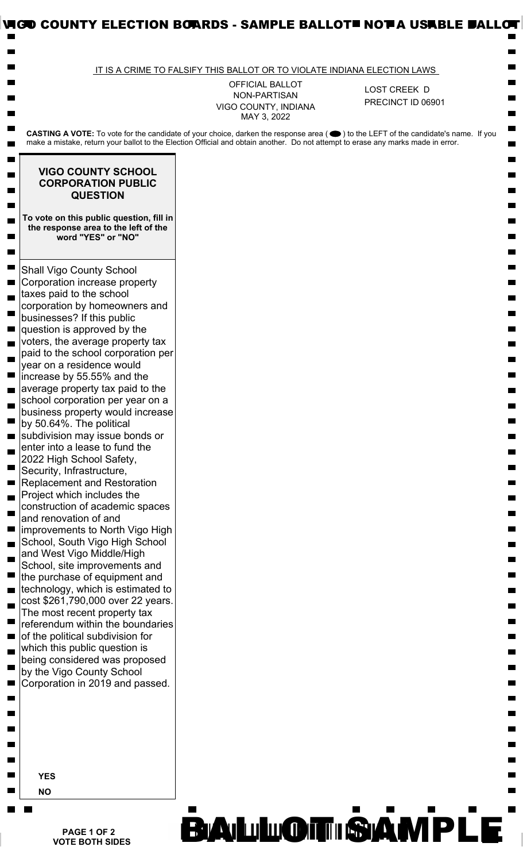|                                                                                                                                                                                                                                                                        | IT IS A CRIME TO FALSIFY THIS BALLOT OR TO VIOLATE INDIANA ELECTION LAWS |                   |  |
|------------------------------------------------------------------------------------------------------------------------------------------------------------------------------------------------------------------------------------------------------------------------|--------------------------------------------------------------------------|-------------------|--|
|                                                                                                                                                                                                                                                                        | OFFICIAL BALLOT<br>NON-PARTISAN                                          | LOST CREEK D      |  |
|                                                                                                                                                                                                                                                                        | VIGO COUNTY, INDIANA<br>MAY 3, 2022                                      | PRECINCT ID 06901 |  |
| CASTING A VOTE: To vote for the candidate of your choice, darken the response area (●) to the LEFT of the candidate's name. If you<br>make a mistake, return your ballot to the Election Official and obtain another. Do not attempt to erase any marks made in error. |                                                                          |                   |  |
| <b>VIGO COUNTY SCHOOL</b><br><b>CORPORATION PUBLIC</b>                                                                                                                                                                                                                 |                                                                          |                   |  |
| <b>QUESTION</b>                                                                                                                                                                                                                                                        |                                                                          |                   |  |
| To vote on this public question, fill in<br>the response area to the left of the<br>word "YES" or "NO"                                                                                                                                                                 |                                                                          |                   |  |
| <b>Shall Vigo County School</b><br>Corporation increase property<br>taxes paid to the school                                                                                                                                                                           |                                                                          |                   |  |
| corporation by homeowners and<br>businesses? If this public                                                                                                                                                                                                            |                                                                          |                   |  |
| question is approved by the<br>voters, the average property tax<br>paid to the school corporation per                                                                                                                                                                  |                                                                          |                   |  |
| year on a residence would<br>increase by 55.55% and the                                                                                                                                                                                                                |                                                                          |                   |  |
| average property tax paid to the<br>school corporation per year on a                                                                                                                                                                                                   |                                                                          |                   |  |
| business property would increase<br>by 50.64%. The political                                                                                                                                                                                                           |                                                                          |                   |  |
| subdivision may issue bonds or<br>enter into a lease to fund the                                                                                                                                                                                                       |                                                                          |                   |  |
| 2022 High School Safety,<br>Security, Infrastructure,<br><b>Replacement and Restoration</b>                                                                                                                                                                            |                                                                          |                   |  |
| Project which includes the<br>construction of academic spaces                                                                                                                                                                                                          |                                                                          |                   |  |
| and renovation of and<br>improvements to North Vigo High                                                                                                                                                                                                               |                                                                          |                   |  |
| School, South Vigo High School<br>and West Vigo Middle/High                                                                                                                                                                                                            |                                                                          |                   |  |
| School, site improvements and<br>the purchase of equipment and                                                                                                                                                                                                         |                                                                          |                   |  |
| technology, which is estimated to<br>cost \$261,790,000 over 22 years.                                                                                                                                                                                                 |                                                                          |                   |  |
| The most recent property tax<br>referendum within the boundaries<br>of the political subdivision for                                                                                                                                                                   |                                                                          |                   |  |
| which this public question is<br>being considered was proposed                                                                                                                                                                                                         |                                                                          |                   |  |
| by the Vigo County School<br>Corporation in 2019 and passed.                                                                                                                                                                                                           |                                                                          |                   |  |
|                                                                                                                                                                                                                                                                        |                                                                          |                   |  |
|                                                                                                                                                                                                                                                                        |                                                                          |                   |  |
|                                                                                                                                                                                                                                                                        |                                                                          |                   |  |
| <b>YES</b>                                                                                                                                                                                                                                                             |                                                                          |                   |  |
| <b>NO</b>                                                                                                                                                                                                                                                              |                                                                          |                   |  |